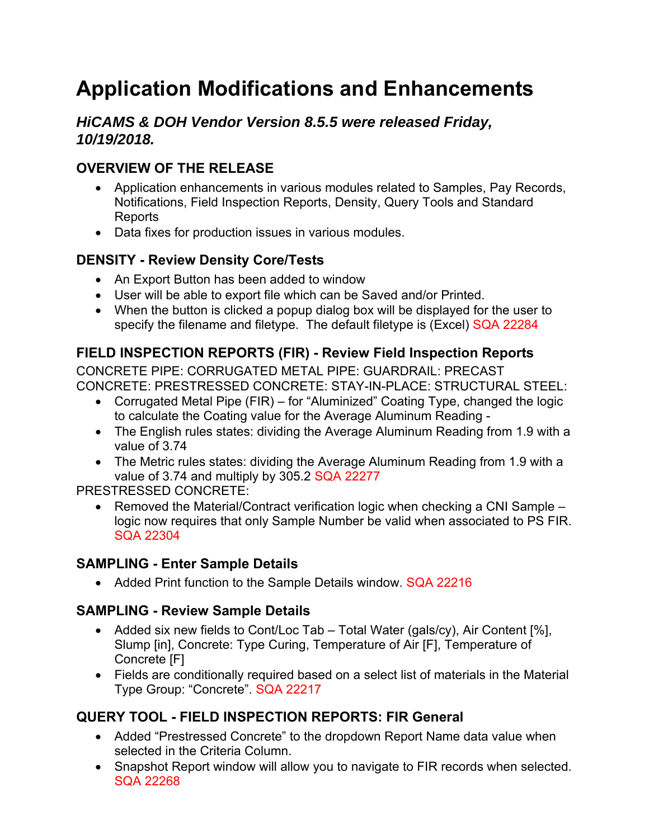# **Application Modifications and Enhancements**

## *HiCAMS & DOH Vendor Version 8.5.5 were released Friday, 10/19/2018.*

# **OVERVIEW OF THE RELEASE**

- Application enhancements in various modules related to Samples, Pay Records, Notifications, Field Inspection Reports, Density, Query Tools and Standard **Reports**
- Data fixes for production issues in various modules.

#### **DENSITY - Review Density Core/Tests**

- An Export Button has been added to window
- User will be able to export file which can be Saved and/or Printed.
- When the button is clicked a popup dialog box will be displayed for the user to specify the filename and filetype. The default filetype is (Excel) SQA 22284

#### **FIELD INSPECTION REPORTS (FIR) - Review Field Inspection Reports**

CONCRETE PIPE: CORRUGATED METAL PIPE: GUARDRAIL: PRECAST CONCRETE: PRESTRESSED CONCRETE: STAY-IN-PLACE: STRUCTURAL STEEL:

- Corrugated Metal Pipe (FIR) for "Aluminized" Coating Type, changed the logic to calculate the Coating value for the Average Aluminum Reading -
- The English rules states: dividing the Average Aluminum Reading from 1.9 with a value of 3.74
- The Metric rules states: dividing the Average Aluminum Reading from 1.9 with a value of 3.74 and multiply by 305.2 SQA 22277

#### PRESTRESSED CONCRETE:

• Removed the Material/Contract verification logic when checking a CNI Sample – logic now requires that only Sample Number be valid when associated to PS FIR. SQA 22304

## **SAMPLING - Enter Sample Details**

• Added Print function to the Sample Details window. SQA 22216

## **SAMPLING - Review Sample Details**

- Added six new fields to Cont/Loc Tab Total Water (gals/cy), Air Content [%], Slump [in], Concrete: Type Curing, Temperature of Air [F], Temperature of Concrete [F]
- Fields are conditionally required based on a select list of materials in the Material Type Group: "Concrete". SQA 22217

## **QUERY TOOL - FIELD INSPECTION REPORTS: FIR General**

- Added "Prestressed Concrete" to the dropdown Report Name data value when selected in the Criteria Column.
- Snapshot Report window will allow you to navigate to FIR records when selected. SQA 22268